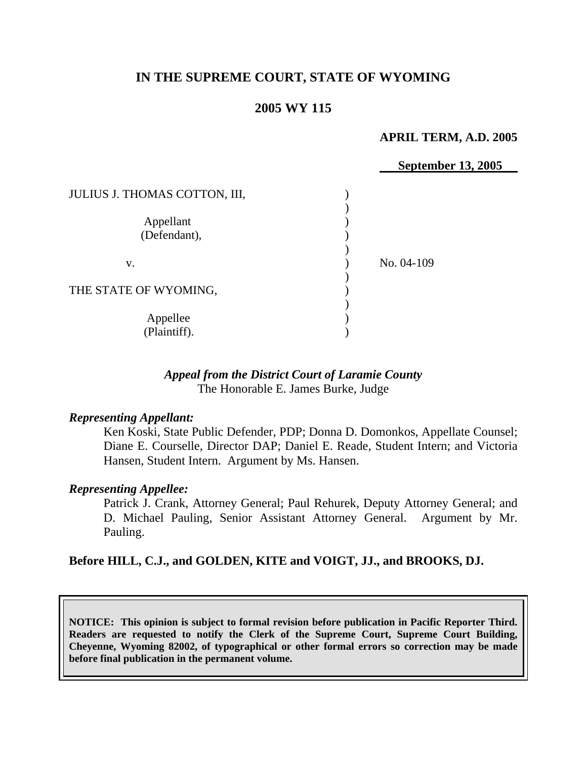# **IN THE SUPREME COURT, STATE OF WYOMING**

## **2005 WY 115**

#### **APRIL TERM, A.D. 2005**

|                               | <b>September 13, 2005</b> |
|-------------------------------|---------------------------|
| JULIUS J. THOMAS COTTON, III, |                           |
| Appellant                     |                           |
| (Defendant),                  |                           |
| V.                            | No. 04-109                |
| THE STATE OF WYOMING,         |                           |
| Appellee<br>(Plaintiff).      |                           |

## *Appeal from the District Court of Laramie County* The Honorable E. James Burke, Judge

#### *Representing Appellant:*

Ken Koski, State Public Defender, PDP; Donna D. Domonkos, Appellate Counsel; Diane E. Courselle, Director DAP; Daniel E. Reade, Student Intern; and Victoria Hansen, Student Intern. Argument by Ms. Hansen.

#### *Representing Appellee:*

Patrick J. Crank, Attorney General; Paul Rehurek, Deputy Attorney General; and D. Michael Pauling, Senior Assistant Attorney General. Argument by Mr. Pauling.

## **Before HILL, C.J., and GOLDEN, KITE and VOIGT, JJ., and BROOKS, DJ.**

**NOTICE: This opinion is subject to formal revision before publication in Pacific Reporter Third. Readers are requested to notify the Clerk of the Supreme Court, Supreme Court Building, Cheyenne, Wyoming 82002, of typographical or other formal errors so correction may be made before final publication in the permanent volume.**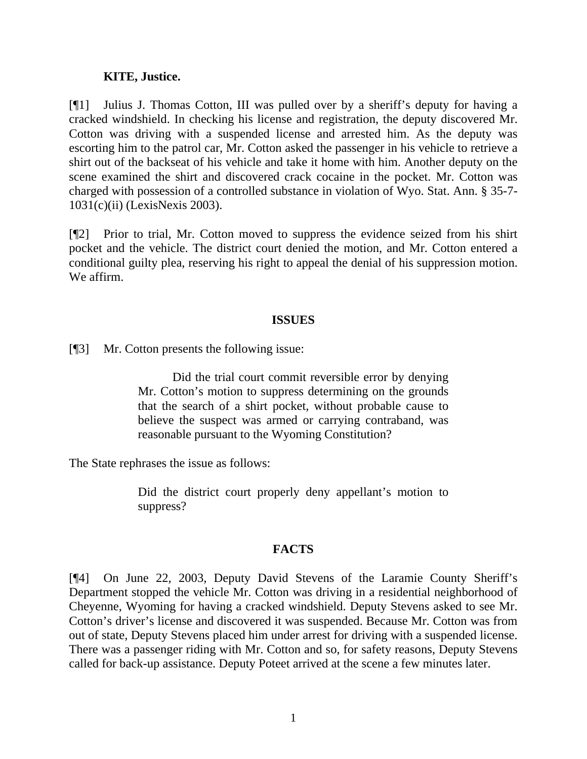#### **KITE, Justice.**

[¶1] Julius J. Thomas Cotton, III was pulled over by a sheriff's deputy for having a cracked windshield. In checking his license and registration, the deputy discovered Mr. Cotton was driving with a suspended license and arrested him. As the deputy was escorting him to the patrol car, Mr. Cotton asked the passenger in his vehicle to retrieve a shirt out of the backseat of his vehicle and take it home with him. Another deputy on the scene examined the shirt and discovered crack cocaine in the pocket. Mr. Cotton was charged with possession of a controlled substance in violation of Wyo. Stat. Ann. § 35-7- 1031(c)(ii) (LexisNexis 2003).

[¶2] Prior to trial, Mr. Cotton moved to suppress the evidence seized from his shirt pocket and the vehicle. The district court denied the motion, and Mr. Cotton entered a conditional guilty plea, reserving his right to appeal the denial of his suppression motion. We affirm.

## **ISSUES**

[¶3] Mr. Cotton presents the following issue:

Did the trial court commit reversible error by denying Mr. Cotton's motion to suppress determining on the grounds that the search of a shirt pocket, without probable cause to believe the suspect was armed or carrying contraband, was reasonable pursuant to the Wyoming Constitution?

The State rephrases the issue as follows:

Did the district court properly deny appellant's motion to suppress?

## **FACTS**

[¶4] On June 22, 2003, Deputy David Stevens of the Laramie County Sheriff's Department stopped the vehicle Mr. Cotton was driving in a residential neighborhood of Cheyenne, Wyoming for having a cracked windshield. Deputy Stevens asked to see Mr. Cotton's driver's license and discovered it was suspended. Because Mr. Cotton was from out of state, Deputy Stevens placed him under arrest for driving with a suspended license. There was a passenger riding with Mr. Cotton and so, for safety reasons, Deputy Stevens called for back-up assistance. Deputy Poteet arrived at the scene a few minutes later.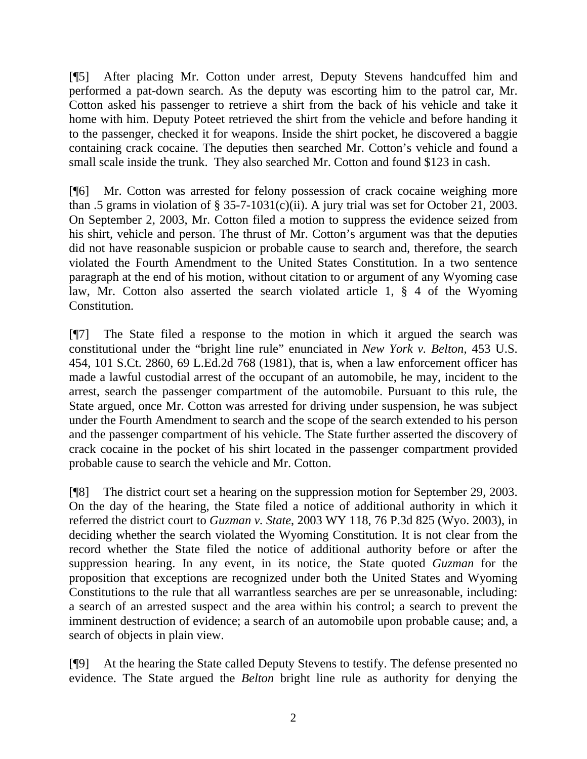[¶5] After placing Mr. Cotton under arrest, Deputy Stevens handcuffed him and performed a pat-down search. As the deputy was escorting him to the patrol car, Mr. Cotton asked his passenger to retrieve a shirt from the back of his vehicle and take it home with him. Deputy Poteet retrieved the shirt from the vehicle and before handing it to the passenger, checked it for weapons. Inside the shirt pocket, he discovered a baggie containing crack cocaine. The deputies then searched Mr. Cotton's vehicle and found a small scale inside the trunk. They also searched Mr. Cotton and found \$123 in cash.

[¶6] Mr. Cotton was arrested for felony possession of crack cocaine weighing more than .5 grams in violation of  $\S 35$ -7-1031(c)(ii). A jury trial was set for October 21, 2003. On September 2, 2003, Mr. Cotton filed a motion to suppress the evidence seized from his shirt, vehicle and person. The thrust of Mr. Cotton's argument was that the deputies did not have reasonable suspicion or probable cause to search and, therefore, the search violated the Fourth Amendment to the United States Constitution. In a two sentence paragraph at the end of his motion, without citation to or argument of any Wyoming case law, Mr. Cotton also asserted the search violated article 1, § 4 of the Wyoming Constitution.

[¶7] The State filed a response to the motion in which it argued the search was constitutional under the "bright line rule" enunciated in *New York v. Belton*, 453 U.S. 454, 101 S.Ct. 2860, 69 L.Ed.2d 768 (1981), that is, when a law enforcement officer has made a lawful custodial arrest of the occupant of an automobile, he may, incident to the arrest, search the passenger compartment of the automobile. Pursuant to this rule, the State argued, once Mr. Cotton was arrested for driving under suspension, he was subject under the Fourth Amendment to search and the scope of the search extended to his person and the passenger compartment of his vehicle. The State further asserted the discovery of crack cocaine in the pocket of his shirt located in the passenger compartment provided probable cause to search the vehicle and Mr. Cotton.

[¶8] The district court set a hearing on the suppression motion for September 29, 2003. On the day of the hearing, the State filed a notice of additional authority in which it referred the district court to *Guzman v. State*, 2003 WY 118, 76 P.3d 825 (Wyo. 2003), in deciding whether the search violated the Wyoming Constitution. It is not clear from the record whether the State filed the notice of additional authority before or after the suppression hearing. In any event, in its notice, the State quoted *Guzman* for the proposition that exceptions are recognized under both the United States and Wyoming Constitutions to the rule that all warrantless searches are per se unreasonable, including: a search of an arrested suspect and the area within his control; a search to prevent the imminent destruction of evidence; a search of an automobile upon probable cause; and, a search of objects in plain view.

[¶9] At the hearing the State called Deputy Stevens to testify. The defense presented no evidence. The State argued the *Belton* bright line rule as authority for denying the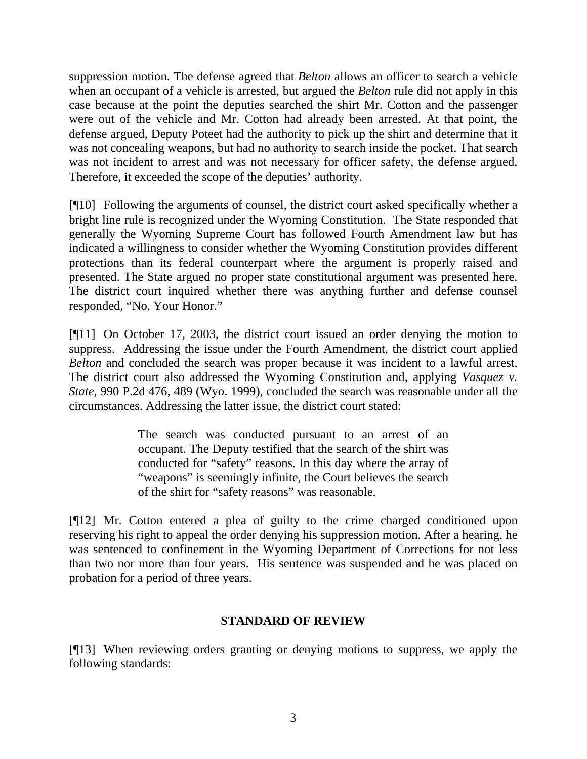suppression motion. The defense agreed that *Belton* allows an officer to search a vehicle when an occupant of a vehicle is arrested, but argued the *Belton* rule did not apply in this case because at the point the deputies searched the shirt Mr. Cotton and the passenger were out of the vehicle and Mr. Cotton had already been arrested. At that point, the defense argued, Deputy Poteet had the authority to pick up the shirt and determine that it was not concealing weapons, but had no authority to search inside the pocket. That search was not incident to arrest and was not necessary for officer safety, the defense argued. Therefore, it exceeded the scope of the deputies' authority.

[¶10] Following the arguments of counsel, the district court asked specifically whether a bright line rule is recognized under the Wyoming Constitution. The State responded that generally the Wyoming Supreme Court has followed Fourth Amendment law but has indicated a willingness to consider whether the Wyoming Constitution provides different protections than its federal counterpart where the argument is properly raised and presented. The State argued no proper state constitutional argument was presented here. The district court inquired whether there was anything further and defense counsel responded, "No, Your Honor."

[¶11] On October 17, 2003, the district court issued an order denying the motion to suppress. Addressing the issue under the Fourth Amendment, the district court applied *Belton* and concluded the search was proper because it was incident to a lawful arrest. The district court also addressed the Wyoming Constitution and, applying *Vasquez v. State*, 990 P.2d 476, 489 (Wyo. 1999), concluded the search was reasonable under all the circumstances. Addressing the latter issue, the district court stated:

> The search was conducted pursuant to an arrest of an occupant. The Deputy testified that the search of the shirt was conducted for "safety" reasons. In this day where the array of "weapons" is seemingly infinite, the Court believes the search of the shirt for "safety reasons" was reasonable.

[¶12] Mr. Cotton entered a plea of guilty to the crime charged conditioned upon reserving his right to appeal the order denying his suppression motion. After a hearing, he was sentenced to confinement in the Wyoming Department of Corrections for not less than two nor more than four years. His sentence was suspended and he was placed on probation for a period of three years.

## **STANDARD OF REVIEW**

[¶13] When reviewing orders granting or denying motions to suppress, we apply the following standards: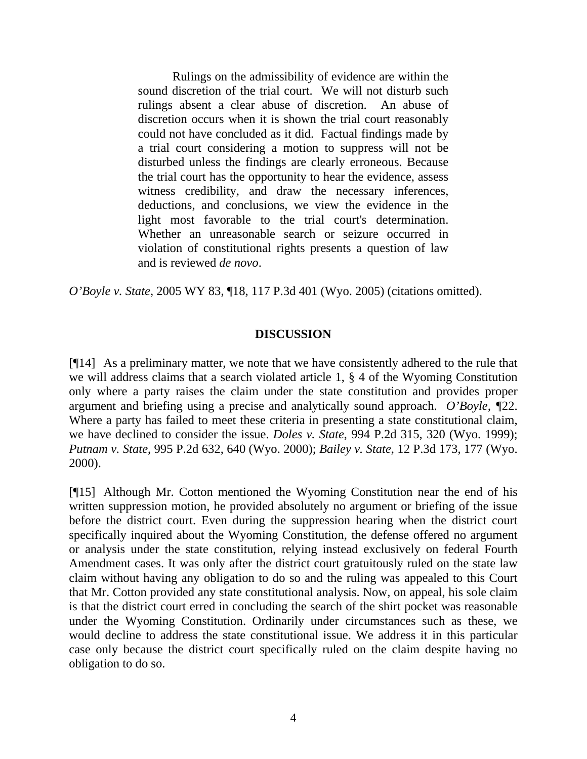Rulings on the admissibility of evidence are within the sound discretion of the trial court. We will not disturb such rulings absent a clear abuse of discretion. An abuse of discretion occurs when it is shown the trial court reasonably could not have concluded as it did. Factual findings made by a trial court considering a motion to suppress will not be disturbed unless the findings are clearly erroneous. Because the trial court has the opportunity to hear the evidence, assess witness credibility, and draw the necessary inferences, deductions, and conclusions, we view the evidence in the light most favorable to the trial court's determination. Whether an unreasonable search or seizure occurred in violation of constitutional rights presents a question of law and is reviewed *de novo*.

*O'Boyle v. State*, 2005 WY 83, ¶18, 117 P.3d 401 (Wyo. 2005) (citations omitted).

## **DISCUSSION**

[¶14] As a preliminary matter, we note that we have consistently adhered to the rule that we will address claims that a search violated article 1, § 4 of the Wyoming Constitution only where a party raises the claim under the state constitution and provides proper argument and briefing using a precise and analytically sound approach. *O'Boyle, ¶*22. Where a party has failed to meet these criteria in presenting a state constitutional claim, we have declined to consider the issue. *Doles v. State*, 994 P.2d 315, 320 (Wyo. 1999); *Putnam v. State*, 995 P.2d 632, 640 (Wyo. 2000); *Bailey v. State*, 12 P.3d 173, 177 (Wyo. 2000).

[¶15] Although Mr. Cotton mentioned the Wyoming Constitution near the end of his written suppression motion, he provided absolutely no argument or briefing of the issue before the district court. Even during the suppression hearing when the district court specifically inquired about the Wyoming Constitution, the defense offered no argument or analysis under the state constitution, relying instead exclusively on federal Fourth Amendment cases. It was only after the district court gratuitously ruled on the state law claim without having any obligation to do so and the ruling was appealed to this Court that Mr. Cotton provided any state constitutional analysis. Now, on appeal, his sole claim is that the district court erred in concluding the search of the shirt pocket was reasonable under the Wyoming Constitution. Ordinarily under circumstances such as these, we would decline to address the state constitutional issue. We address it in this particular case only because the district court specifically ruled on the claim despite having no obligation to do so.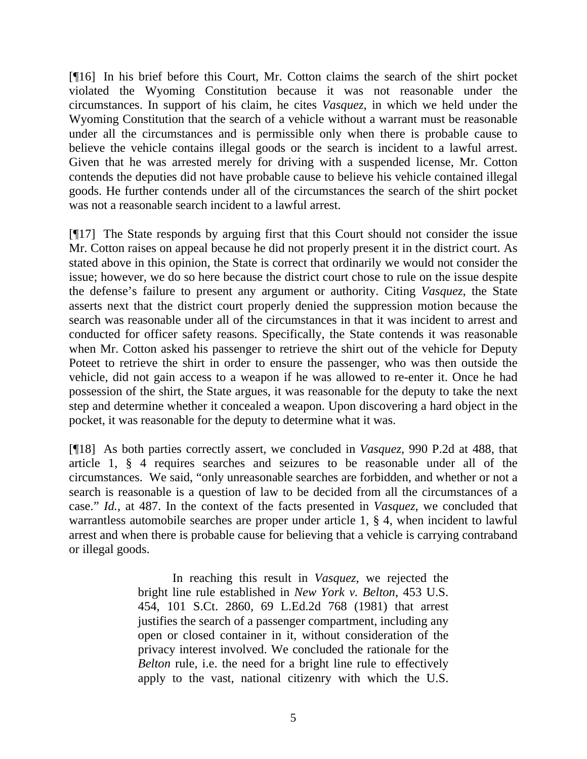[¶16] In his brief before this Court, Mr. Cotton claims the search of the shirt pocket violated the Wyoming Constitution because it was not reasonable under the circumstances. In support of his claim, he cites *Vasquez*, in which we held under the Wyoming Constitution that the search of a vehicle without a warrant must be reasonable under all the circumstances and is permissible only when there is probable cause to believe the vehicle contains illegal goods or the search is incident to a lawful arrest. Given that he was arrested merely for driving with a suspended license, Mr. Cotton contends the deputies did not have probable cause to believe his vehicle contained illegal goods. He further contends under all of the circumstances the search of the shirt pocket was not a reasonable search incident to a lawful arrest.

[¶17] The State responds by arguing first that this Court should not consider the issue Mr. Cotton raises on appeal because he did not properly present it in the district court. As stated above in this opinion, the State is correct that ordinarily we would not consider the issue; however, we do so here because the district court chose to rule on the issue despite the defense's failure to present any argument or authority. Citing *Vasquez*, the State asserts next that the district court properly denied the suppression motion because the search was reasonable under all of the circumstances in that it was incident to arrest and conducted for officer safety reasons. Specifically, the State contends it was reasonable when Mr. Cotton asked his passenger to retrieve the shirt out of the vehicle for Deputy Poteet to retrieve the shirt in order to ensure the passenger, who was then outside the vehicle, did not gain access to a weapon if he was allowed to re-enter it. Once he had possession of the shirt, the State argues, it was reasonable for the deputy to take the next step and determine whether it concealed a weapon. Upon discovering a hard object in the pocket, it was reasonable for the deputy to determine what it was.

[¶18] As both parties correctly assert, we concluded in *Vasquez*, 990 P.2d at 488, that article 1, § 4 requires searches and seizures to be reasonable under all of the circumstances. We said, "only unreasonable searches are forbidden, and whether or not a search is reasonable is a question of law to be decided from all the circumstances of a case." *Id.,* at 487. In the context of the facts presented in *Vasquez*, we concluded that warrantless automobile searches are proper under article 1, § 4, when incident to lawful arrest and when there is probable cause for believing that a vehicle is carrying contraband or illegal goods.

> In reaching this result in *Vasquez*, we rejected the bright line rule established in *New York v. Belton*, 453 U.S. 454, 101 S.Ct. 2860, 69 L.Ed.2d 768 (1981) that arrest justifies the search of a passenger compartment, including any open or closed container in it, without consideration of the privacy interest involved. We concluded the rationale for the *Belton* rule, i.e. the need for a bright line rule to effectively apply to the vast, national citizenry with which the U.S.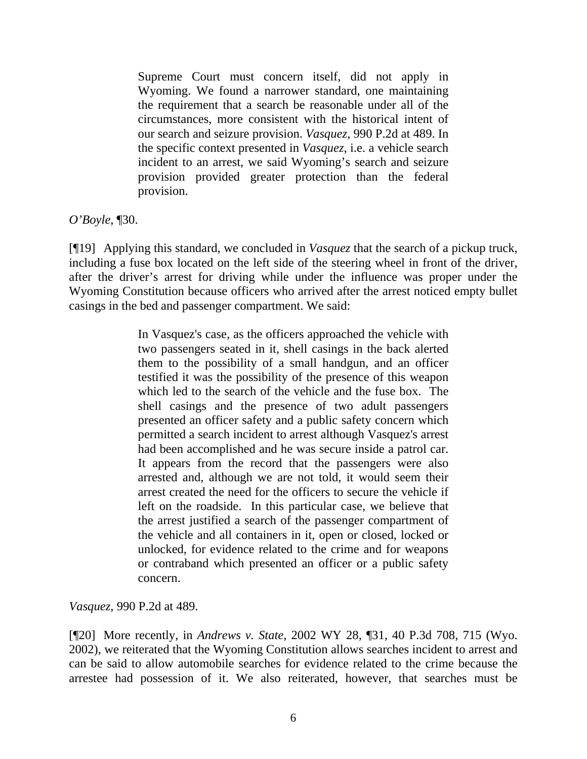Supreme Court must concern itself, did not apply in Wyoming. We found a narrower standard, one maintaining the requirement that a search be reasonable under all of the circumstances, more consistent with the historical intent of our search and seizure provision. *Vasquez*, 990 P.2d at 489. In the specific context presented in *Vasquez*, i.e. a vehicle search incident to an arrest, we said Wyoming's search and seizure provision provided greater protection than the federal provision.

*O'Boyle*, ¶30.

[¶19] Applying this standard, we concluded in *Vasquez* that the search of a pickup truck, including a fuse box located on the left side of the steering wheel in front of the driver, after the driver's arrest for driving while under the influence was proper under the Wyoming Constitution because officers who arrived after the arrest noticed empty bullet casings in the bed and passenger compartment. We said:

> In Vasquez's case, as the officers approached the vehicle with two passengers seated in it, shell casings in the back alerted them to the possibility of a small handgun, and an officer testified it was the possibility of the presence of this weapon which led to the search of the vehicle and the fuse box. The shell casings and the presence of two adult passengers presented an officer safety and a public safety concern which permitted a search incident to arrest although Vasquez's arrest had been accomplished and he was secure inside a patrol car. It appears from the record that the passengers were also arrested and, although we are not told, it would seem their arrest created the need for the officers to secure the vehicle if left on the roadside. In this particular case, we believe that the arrest justified a search of the passenger compartment of the vehicle and all containers in it, open or closed, locked or unlocked, for evidence related to the crime and for weapons or contraband which presented an officer or a public safety concern.

*Vasquez,* 990 P.2d at 489.

[¶20] More recently, in *Andrews v. State*, 2002 WY 28, ¶31, 40 P.3d 708, 715 (Wyo. 2002), we reiterated that the Wyoming Constitution allows searches incident to arrest and can be said to allow automobile searches for evidence related to the crime because the arrestee had possession of it. We also reiterated, however, that searches must be